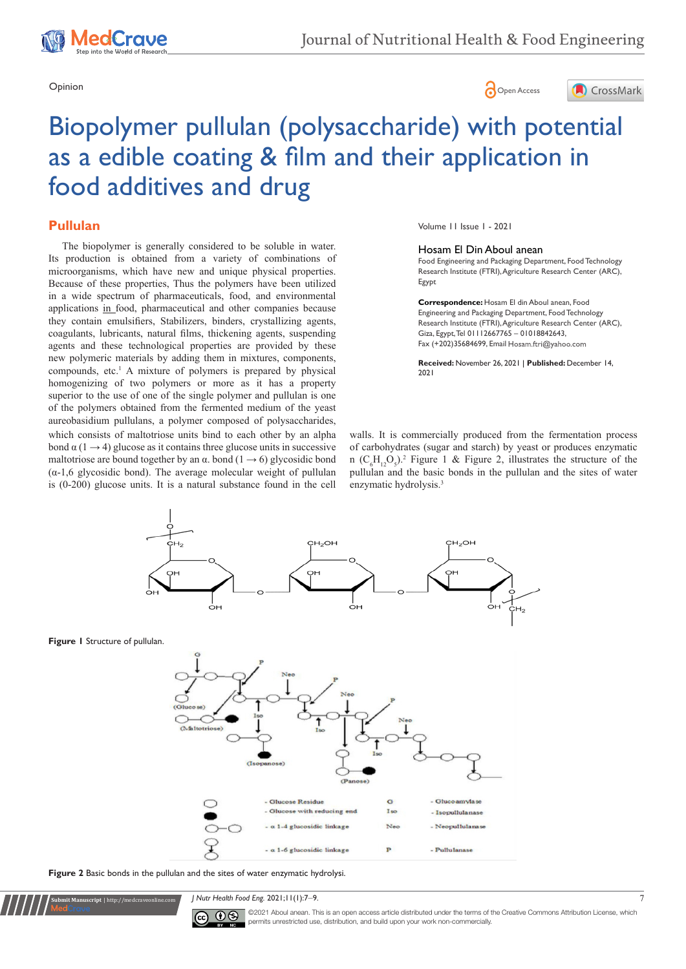





# Biopolymer pullulan (polysaccharide) with potential as a edible coating & film and their application in food additives and drug

# **Pullulan**

which consists of maltotriose units bind to each other by an alpha bond  $\alpha$  (1  $\rightarrow$  4) glucose as it contains three glucose units in successive maltotriose are bound together by an  $\alpha$ . bond (1  $\rightarrow$  6) glycosidic bond  $(\alpha-1,6)$  glycosidic bond). The average molecular weight of pullulan is (0-200) glucose units. It is a natural substance found in the cell The biopolymer is generally considered to be soluble in water. Its production is obtained from a variety of combinations of microorganisms, which have new and unique physical properties. Because of these properties, Thus the polymers have been utilized in a wide spectrum of pharmaceuticals, food, and environmental applications in food, pharmaceutical and other companies because they contain emulsifiers, Stabilizers, binders, crystallizing agents, coagulants, lubricants, natural films, thickening agents, suspending agents and these technological properties are provided by these new polymeric materials by adding them in mixtures, components, compounds, etc.1 A mixture of polymers is prepared by physical homogenizing of two polymers or more as it has a property superior to the use of one of the single polymer and pullulan is one of the polymers obtained from the fermented medium of the yeast aureobasidium pullulans, a polymer composed of polysaccharides,

Volume 11 Issue 1 - 2021

#### Hosam El Din Aboul anean

Food Engineering and Packaging Department, Food Technology Research Institute (FTRI), Agriculture Research Center (ARC), Egypt

**Correspondence:** Hosam El din Aboul anean, Food Engineering and Packaging Department, Food Technology Research Institute (FTRI), Agriculture Research Center (ARC), Giza, Egypt, Tel 01112667765 – 01018842643, Fax (+202)35684699, Email Hosam.ftri@yahoo.com

**Received:** November 26, 2021 | **Published:** December 14, 2021

walls. It is commercially produced from the fermentation process of carbohydrates (sugar and starch) by yeast or produces enzymatic n  $(C_6H_{12}O_5)^2$ . Figure 1 & Figure 2, illustrates the structure of the pullulan and the basic bonds in the pullulan and the sites of water enzymatic hydrolysis.<sup>3</sup>



**Figure 2** Basic bonds in the pullulan and the sites of water enzymatic hydrolysi.

**Submit Manuscript** | http://medcraveonline.com

*J Nutr Health Food Eng.* 2021;11(1):7-9.



©2021 Aboul anean. This is an open access article distributed under the terms of the [Creative Commons Attribution License,](https://creativecommons.org/licenses/by-nc/4.0/) which permits unrestricted use, distribution, and build upon your work non-commercially.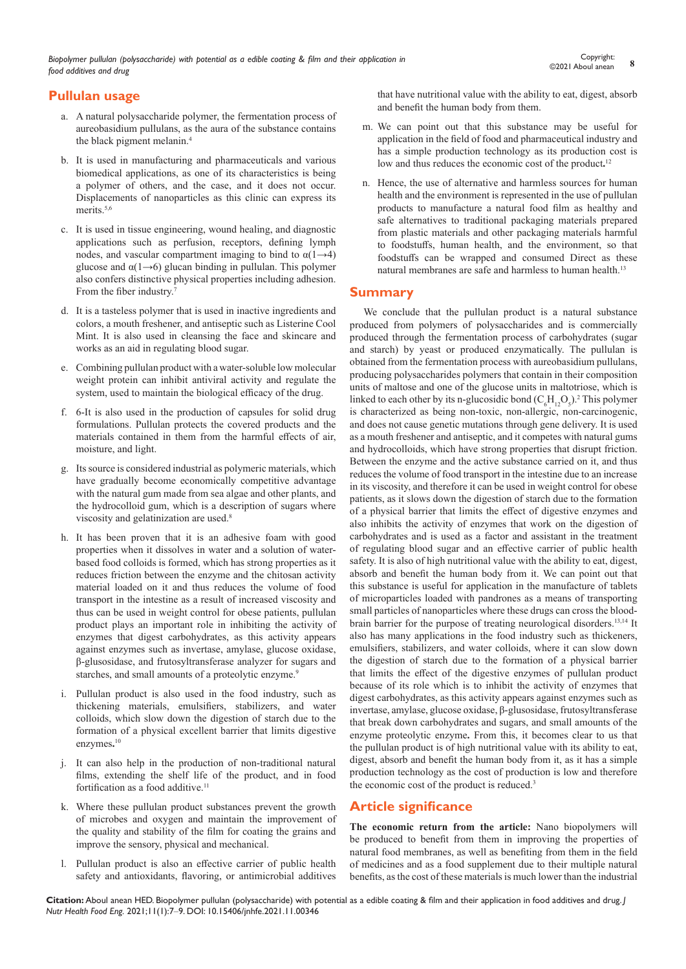*Biopolymer pullulan (polysaccharide) with potential as a edible coating & film and their application in food additives and drug*

# **Pullulan usage**

- a. A natural polysaccharide polymer, the fermentation process of aureobasidium pullulans, as the aura of the substance contains the black pigment melanin.4
- b. It is used in manufacturing and pharmaceuticals and various biomedical applications, as one of its characteristics is being a polymer of others, and the case, and it does not occur. Displacements of nanoparticles as this clinic can express its merits.<sup>5,6</sup>
- c. It is used in tissue engineering, wound healing, and diagnostic applications such as perfusion, receptors, defining lymph nodes, and vascular compartment imaging to bind to  $\alpha(1\rightarrow4)$ glucose and  $\alpha(1\rightarrow 6)$  glucan binding in pullulan. This polymer also confers distinctive physical properties including adhesion. From the fiber industry.<sup>7</sup>
- d. It is a tasteless polymer that is used in inactive ingredients and colors, a mouth freshener, and antiseptic such as Listerine Cool Mint. It is also used in cleansing the face and skincare and works as an aid in regulating blood sugar.
- e. Combining pullulan product with a water-soluble low molecular weight protein can inhibit antiviral activity and regulate the system, used to maintain the biological efficacy of the drug.
- f. 6-It is also used in the production of capsules for solid drug formulations. Pullulan protects the covered products and the materials contained in them from the harmful effects of air, moisture, and light.
- g. Its source is considered industrial as polymeric materials, which have gradually become economically competitive advantage with the natural gum made from sea algae and other plants, and the hydrocolloid gum, which is a description of sugars where viscosity and gelatinization are used.<sup>8</sup>
- h. It has been proven that it is an adhesive foam with good properties when it dissolves in water and a solution of waterbased food colloids is formed, which has strong properties as it reduces friction between the enzyme and the chitosan activity material loaded on it and thus reduces the volume of food transport in the intestine as a result of increased viscosity and thus can be used in weight control for obese patients, pullulan product plays an important role in inhibiting the activity of enzymes that digest carbohydrates, as this activity appears against enzymes such as invertase, amylase, glucose oxidase, β-glusosidase, and frutosyltransferase analyzer for sugars and starches, and small amounts of a proteolytic enzyme.<sup>9</sup>
- i. Pullulan product is also used in the food industry, such as thickening materials, emulsifiers, stabilizers, and water colloids, which slow down the digestion of starch due to the formation of a physical excellent barrier that limits digestive enzymes**.** 10
- j. It can also help in the production of non-traditional natural films, extending the shelf life of the product, and in food fortification as a food additive.<sup>11</sup>
- k. Where these pullulan product substances prevent the growth of microbes and oxygen and maintain the improvement of the quality and stability of the film for coating the grains and improve the sensory, physical and mechanical.
- l. Pullulan product is also an effective carrier of public health safety and antioxidants, flavoring, or antimicrobial additives

that have nutritional value with the ability to eat, digest, absorb and benefit the human body from them.

- m. We can point out that this substance may be useful for application in the field of food and pharmaceutical industry and has a simple production technology as its production cost is low and thus reduces the economic cost of the product.<sup>12</sup>
- n. Hence, the use of alternative and harmless sources for human health and the environment is represented in the use of pullulan products to manufacture a natural food film as healthy and safe alternatives to traditional packaging materials prepared from plastic materials and other packaging materials harmful to foodstuffs, human health, and the environment, so that foodstuffs can be wrapped and consumed Direct as these natural membranes are safe and harmless to human health.<sup>13</sup>

# **Summary**

We conclude that the pullulan product is a natural substance produced from polymers of polysaccharides and is commercially produced through the fermentation process of carbohydrates (sugar and starch) by yeast or produced enzymatically. The pullulan is obtained from the fermentation process with aureobasidium pullulans, producing polysaccharides polymers that contain in their composition units of maltose and one of the glucose units in maltotriose, which is linked to each other by its n-glucosidic bond  $(C_6H_{12}O_5)^2$ . This polymer is characterized as being non-toxic, non-allergic, non-carcinogenic, and does not cause genetic mutations through gene delivery. It is used as a mouth freshener and antiseptic, and it competes with natural gums and hydrocolloids, which have strong properties that disrupt friction. Between the enzyme and the active substance carried on it, and thus reduces the volume of food transport in the intestine due to an increase in its viscosity, and therefore it can be used in weight control for obese patients, as it slows down the digestion of starch due to the formation of a physical barrier that limits the effect of digestive enzymes and also inhibits the activity of enzymes that work on the digestion of carbohydrates and is used as a factor and assistant in the treatment of regulating blood sugar and an effective carrier of public health safety. It is also of high nutritional value with the ability to eat, digest, absorb and benefit the human body from it. We can point out that this substance is useful for application in the manufacture of tablets of microparticles loaded with pandrones as a means of transporting small particles of nanoparticles where these drugs can cross the bloodbrain barrier for the purpose of treating neurological disorders.13,14 It also has many applications in the food industry such as thickeners, emulsifiers, stabilizers, and water colloids, where it can slow down the digestion of starch due to the formation of a physical barrier that limits the effect of the digestive enzymes of pullulan product because of its role which is to inhibit the activity of enzymes that digest carbohydrates, as this activity appears against enzymes such as invertase, amylase, glucose oxidase, β-glusosidase, frutosyltransferase that break down carbohydrates and sugars, and small amounts of the enzyme proteolytic enzyme**.** From this, it becomes clear to us that the pullulan product is of high nutritional value with its ability to eat, digest, absorb and benefit the human body from it, as it has a simple production technology as the cost of production is low and therefore the economic cost of the product is reduced.<sup>3</sup>

# **Article significance**

**The economic return from the article:** Nano biopolymers will be produced to benefit from them in improving the properties of natural food membranes, as well as benefiting from them in the field of medicines and as a food supplement due to their multiple natural benefits, as the cost of these materials is much lower than the industrial

**Citation:** Aboul anean HED. Biopolymer pullulan (polysaccharide) with potential as a edible coating & film and their application in food additives and drug. *J Nutr Health Food Eng.* 2021;11(1):7‒9. DOI: [10.15406/jnhfe.2021.11.00346](https://doi.org/10.15406/jnhfe.2021.11.00346)